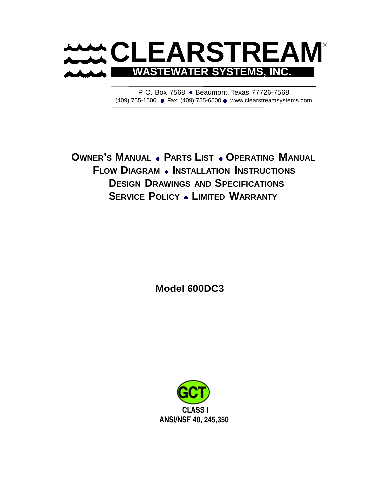

P. O. Box 7568 . Beaumont, Texas 77726-7568 (409) 755-1500 Fax: (409) 755-6500 www.clearstreamsystems.com

**OWNER'S MANUAL PARTS LIST OPERATING MANUAL FLOW DIAGRAM INSTALLATION INSTRUCTIONS DESIGN DRAWINGS AND SPECIFICATIONS SERVICE POLICY LIMITED WARRANTY**

**Model 600DC3** 

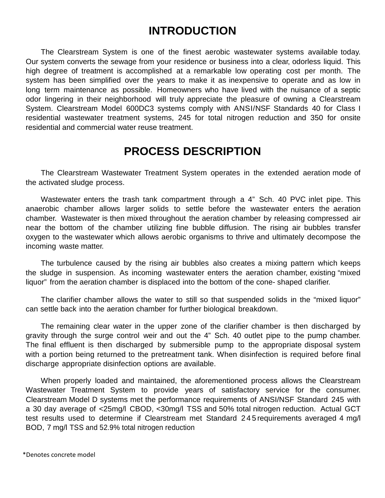# **INTRODUCTION**

The Clearstream System is one of the finest aerobic wastewater systems available today. Our system converts the sewage from your residence or business into a clear, odorless liquid. This high degree of treatment is accomplished at a remarkable low operating cost per month. The system has been simplified over the years to make it as inexpensive to operate and as low in long term maintenance as possible. Homeowners who have lived with the nuisance of a septic odor lingering in their neighborhood will truly appreciate the pleasure of owning a Clearstream System. Clearstream Model 600DC3 systems comply with ANSI/NSF Standards 40 for Class I residential wastewater treatment systems, 245 for total nitrogen reduction and 350 for onsite residential and commercial water reuse treatment.

# **PROCESS DESCRIPTION**

The Clearstream Wastewater Treatment System operates in the extended aeration mode of the activated sludge process.

Wastewater enters the trash tank compartment through a 4" Sch. 40 PVC inlet pipe. This anaerobic chamber allows larger solids to settle before the wastewater enters the aeration chamber. Wastewater is then mixed throughout the aeration chamber by releasing compressed air near the bottom of the chamber utilizing fine bubble diffusion. The rising air bubbles transfer oxygen to the wastewater which allows aerobic organisms to thrive and ultimately decompose the incoming waste matter.

The turbulence caused by the rising air bubbles also creates a mixing pattern which keeps the sludge in suspension. As incoming wastewater enters the aeration chamber, existing "mixed liquor" from the aeration chamber is displaced into the bottom of the cone- shaped clarifier.

The clarifier chamber allows the water to still so that suspended solids in the "mixed liquor" can settle back into the aeration chamber for further biological breakdown.

The remaining clear water in the upper zone of the clarifier chamber is then discharged by gravity through the surge control weir and out the 4" Sch. 40 outlet pipe to the pump chamber. The final effluent is then discharged by submersible pump to the appropriate disposal system with a portion being returned to the pretreatment tank. When disinfection is required before final discharge appropriate disinfection options are available.

When properly loaded and maintained, the aforementioned process allows the Clearstream Wastewater Treatment System to provide years of satisfactory service for the consumer. Clearstream Model D systems met the performance requirements of ANSI/NSF Standard 245 with a 30 day average of <25mg/l CBOD, <30mg/l TSS and 50% total nitrogen reduction. Actual GCT test results used to determine if Clearstream met Standard 2 4 5 requirements averaged 4 mg/l BOD, 7 mg/l TSS and 52.9% total nitrogen reduction

\*Denotes concrete model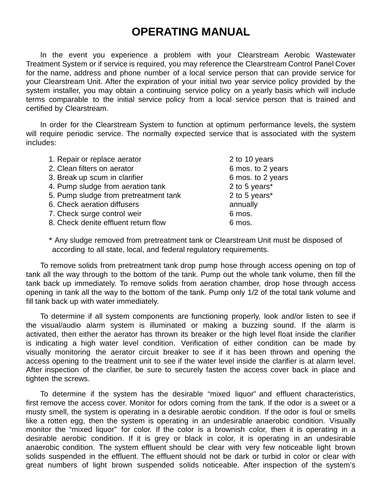# **OPERATING MANUAL**

In the event you experience a problem with your Clearstream Aerobic Wastewater Treatment System or if service is required, you may reference the Clearstream Control Panel Cover for the name, address and phone number of a local service person that can provide service for your Clearstream Unit. After the expiration of your initial two year service policy provided by the system installer, you may obtain a continuing service policy on a yearly basis which will include terms comparable to the initial service policy from a local service person that is trained and certified by Clearstream.

In order for the Clearstream System to function at optimum performance levels, the system will require periodic service. The normally expected service that is associated with the system includes:

| 2. Clean filters on aerator<br>3. Break up scum in clarifier<br>4. Pump sludge from aeration tank<br>2 to 5 years*<br>2 to 5 years*<br>5. Pump sludge from pretreatment tank<br>6. Check aeration diffusers<br>annually<br>7. Check surge control weir<br>6 mos.<br>8. Check denite effluent return flow<br>6 mos. | 1. Repair or replace aerator | 2 to 10 years     |
|--------------------------------------------------------------------------------------------------------------------------------------------------------------------------------------------------------------------------------------------------------------------------------------------------------------------|------------------------------|-------------------|
|                                                                                                                                                                                                                                                                                                                    |                              | 6 mos. to 2 years |
|                                                                                                                                                                                                                                                                                                                    |                              | 6 mos. to 2 years |
|                                                                                                                                                                                                                                                                                                                    |                              |                   |
|                                                                                                                                                                                                                                                                                                                    |                              |                   |
|                                                                                                                                                                                                                                                                                                                    |                              |                   |
|                                                                                                                                                                                                                                                                                                                    |                              |                   |
|                                                                                                                                                                                                                                                                                                                    |                              |                   |

\* Any sludge removed from pretreatment tank or Clearstream Unit must be disposed of according to all state, local, and federal regulatory requirements.

To remove solids from pretreatment tank drop pump hose through access opening on top of tank all the way through to the bottom of the tank. Pump out the whole tank volume, then fill the tank back up immediately. To remove solids from aeration chamber, drop hose through access opening in tank all the way to the bottom of the tank. Pump only 1/2 of the total tank volume and fill tank back up with water immediately.

To determine if all system components are functioning properly, look and/or listen to see if the visual/audio alarm system is illuminated or making a buzzing sound. If the alarm is activated, then either the aerator has thrown its breaker or the high level float inside the clarifier is indicating a high water level condition. Verification of either condition can be made by visually monitoring the aerator circuit breaker to see if it has been thrown and opening the access opening to the treatment unit to see if the water level inside the clarifier is at alarm level. After inspection of the clarifier, be sure to securely fasten the access cover back in place and tighten the screws.

To determine if the system has the desirable "mixed liquor" and effluent characteristics, first remove the access cover. Monitor for odors coming from the tank. If the odor is a sweet or a musty smell, the system is operating in a desirable aerobic condition. If the odor is foul or smells like a rotten egg, then the system is operating in an undesirable anaerobic condition. Visually monitor the "mixed liquor" for color. If the color is a brownish color, then it is operating in a desirable aerobic condition. If it is grey or black in color, it is operating in an undesirable anaerobic condition. The system effluent should be clear with very few noticeable light brown solids suspended in the effluent. The effluent should not be dark or turbid in color or clear with great numbers of light brown suspended solids noticeable. After inspection of the system's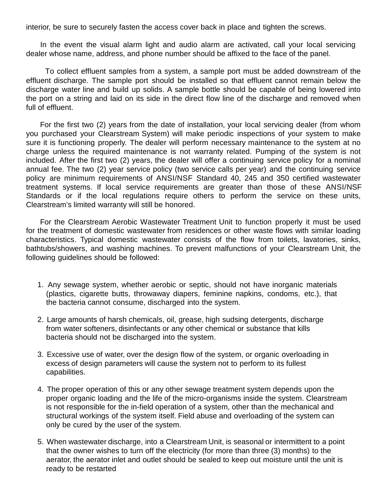interior, be sure to securely fasten the access cover back in place and tighten the screws.

In the event the visual alarm light and audio alarm are activated, call your local servicing dealer whose name, address, and phone number should be affixed to the face of the panel.

 To collect effluent samples from a system, a sample port must be added downstream of the effluent discharge. The sample port should be installed so that effluent cannot remain below the discharge water line and build up solids. A sample bottle should be capable of being lowered into the port on a string and laid on its side in the direct flow line of the discharge and removed when full of effluent.

For the first two (2) years from the date of installation, your local servicing dealer (from whom you purchased your Clearstream System) will make periodic inspections of your system to make sure it is functioning properly. The dealer will perform necessary maintenance to the system at no charge unless the required maintenance is not warranty related. Pumping of the system is not included. After the first two (2) years, the dealer will offer a continuing service policy for a nominal annual fee. The two (2) year service policy (two service calls per year) and the continuing service policy are minimum requirements of ANSI/NSF Standard 40, 245 and 350 certified wastewater treatment systems. If local service requirements are greater than those of these ANSI/NSF Standards or if the local regulations require others to perform the service on these units, Clearstream's limited warranty will still be honored.

For the Clearstream Aerobic Wastewater Treatment Unit to function properly it must be used for the treatment of domestic wastewater from residences or other waste flows with similar loading characteristics. Typical domestic wastewater consists of the flow from toilets, lavatories, sinks, bathtubs/showers, and washing machines. To prevent malfunctions of your Clearstream Unit, the following guidelines should be followed:

- 1. Any sewage system, whether aerobic or septic, should not have inorganic materials (plastics, cigarette butts, throwaway diapers, feminine napkins, condoms, etc.), that the bacteria cannot consume, discharged into the system.
- 2. Large amounts of harsh chemicals, oil, grease, high sudsing detergents, discharge from water softeners, disinfectants or any other chemical or substance that kills bacteria should not be discharged into the system.
- 3. Excessive use of water, over the design flow of the system, or organic overloading in excess of design parameters will cause the system not to perform to its fullest capabilities.
- 4. The proper operation of this or any other sewage treatment system depends upon the proper organic loading and the life of the micro-organisms inside the system. Clearstream is not responsible for the in-field operation of a system, other than the mechanical and structural workings of the system itself. Field abuse and overloading of the system can only be cured by the user of the system.
- 5. When wastewater discharge, into a Clearstream Unit, is seasonal or intermittent to a point that the owner wishes to turn off the electricity (for more than three (3) months) to the aerator, the aerator inlet and outlet should be sealed to keep out moisture until the unit is ready to be restarted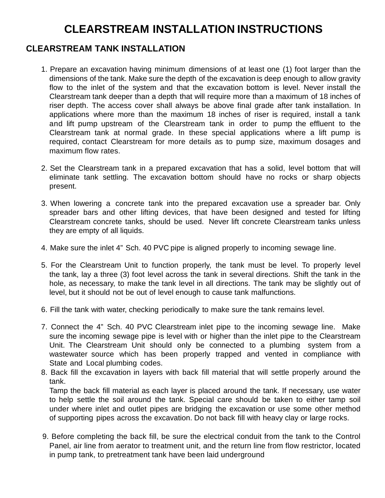# **CLEARSTREAM INSTALLATION INSTRUCTIONS**

### **CLEARSTREAM TANK INSTALLATION**

- 1. Prepare an excavation having minimum dimensions of at least one (1) foot larger than the dimensions of the tank. Make sure the depth of the excavation is deep enough to allow gravity flow to the inlet of the system and that the excavation bottom is level. Never install the Clearstream tank deeper than a depth that will require more than a maximum of 18 inches of riser depth. The access cover shall always be above final grade after tank installation. In applications where more than the maximum 18 inches of riser is required, install a tank and lift pump upstream of the Clearstream tank in order to pump the effluent to the Clearstream tank at normal grade. In these special applications where a lift pump is required, contact Clearstream for more details as to pump size, maximum dosages and maximum flow rates.
- 2. Set the Clearstream tank in a prepared excavation that has a solid, level bottom that will eliminate tank settling. The excavation bottom should have no rocks or sharp objects present.
- 3. When lowering a concrete tank into the prepared excavation use a spreader bar. Only spreader bars and other lifting devices, that have been designed and tested for lifting Clearstream concrete tanks, should be used. Never lift concrete Clearstream tanks unless they are empty of all liquids.
- 4. Make sure the inlet 4" Sch. 40 PVC pipe is aligned properly to incoming sewage line.
- 5. For the Clearstream Unit to function properly, the tank must be level. To properly level the tank, lay a three (3) foot level across the tank in several directions. Shift the tank in the hole, as necessary, to make the tank level in all directions. The tank may be slightly out of level, but it should not be out of level enough to cause tank malfunctions.
- 6. Fill the tank with water, checking periodically to make sure the tank remains level.
- 7. Connect the 4" Sch. 40 PVC Clearstream inlet pipe to the incoming sewage line. Make sure the incoming sewage pipe is level with or higher than the inlet pipe to the Clearstream Unit. The Clearstream Unit should only be connected to a plumbing system from a wastewater source which has been properly trapped and vented in compliance with State and Local plumbing codes.
- 8. Back fill the excavation in layers with back fill material that will settle properly around the tank.

Tamp the back fill material as each layer is placed around the tank. If necessary, use water to help settle the soil around the tank. Special care should be taken to either tamp soil under where inlet and outlet pipes are bridging the excavation or use some other method of supporting pipes across the excavation. Do not back fill with heavy clay or large rocks.

9. Before completing the back fill, be sure the electrical conduit from the tank to the Control Panel, air line from aerator to treatment unit, and the return line from flow restrictor, located in pump tank, to pretreatment tank have been laid underground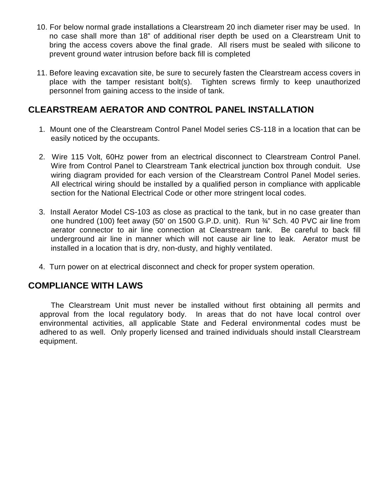- 10. For below normal grade installations a Clearstream 20 inch diameter riser may be used. In no case shall more than 18" of additional riser depth be used on a Clearstream Unit to bring the access covers above the final grade. All risers must be sealed with silicone to prevent ground water intrusion before back fill is completed
- 11. Before leaving excavation site, be sure to securely fasten the Clearstream access covers in place with the tamper resistant bolt(s). Tighten screws firmly to keep unauthorized personnel from gaining access to the inside of tank.

### **CLEARSTREAM AERATOR AND CONTROL PANEL INSTALLATION**

- 1. Mount one of the Clearstream Control Panel Model series CS-118 in a location that can be easily noticed by the occupants.
- 2. Wire 115 Volt, 60Hz power from an electrical disconnect to Clearstream Control Panel. Wire from Control Panel to Clearstream Tank electrical junction box through conduit. Use wiring diagram provided for each version of the Clearstream Control Panel Model series. All electrical wiring should be installed by a qualified person in compliance with applicable section for the National Electrical Code or other more stringent local codes.
- 3. Install Aerator Model CS-103 as close as practical to the tank, but in no case greater than one hundred (100) feet away (50' on 1500 G.P.D. unit). Run ¾" Sch. 40 PVC air line from aerator connector to air line connection at Clearstream tank. Be careful to back fill underground air line in manner which will not cause air line to leak. Aerator must be installed in a location that is dry, non-dusty, and highly ventilated.
- 4. Turn power on at electrical disconnect and check for proper system operation.

#### **COMPLIANCE WITH LAWS**

The Clearstream Unit must never be installed without first obtaining all permits and approval from the local regulatory body. In areas that do not have local control over environmental activities, all applicable State and Federal environmental codes must be adhered to as well. Only properly licensed and trained individuals should install Clearstream equipment.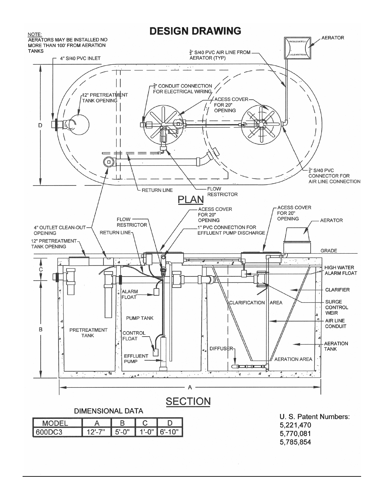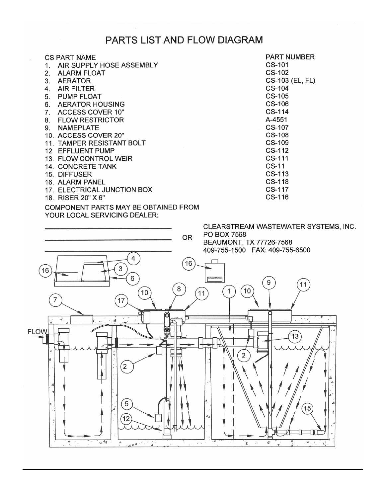## PARTS LIST AND FLOW DIAGRAM

| <b>CS PART NAME</b>                                  | <b>PART NUMBER</b> |
|------------------------------------------------------|--------------------|
| AIR SUPPLY HOSE ASSEMBLY                             | CS-101             |
| <b>ALARM FLOAT</b><br>2.                             | CS-102             |
| 3.<br><b>AERATOR</b>                                 | CS-103 (EL, FL)    |
| <b>AIR FILTER</b><br>4.                              | CS-104             |
| 5. PUMP FLOAT                                        | $CS-105$           |
| <b>AERATOR HOUSING</b><br>6.                         | CS-106             |
| ACCESS COVER 10"<br>$7_{\scriptscriptstyle{\ddots}}$ | CS-114             |
| <b>FLOW RESTRICTOR</b><br>8.                         | A-4551             |
| <b>NAMEPLATE</b><br>9.                               | CS-107             |
| 10. ACCESS COVER 20"                                 | CS-108             |
| 11. TAMPER RESISTANT BOLT                            | <b>CS-109</b>      |
| 12 EFFLUENT PUMP                                     | CS-112             |
| 13. FLOW CONTROL WEIR                                | CS-111             |
| <b>14. CONCRETE TANK</b>                             | $CS-11$            |
| 15. DIFFUSER                                         | CS-113             |
| 16. ALARM PANEL                                      | CS-118             |
| 17. ELECTRICAL JUNCTION BOX                          | CS-117             |
| 18. RISER 20" X 6"                                   | CS-116             |
|                                                      |                    |

COMPONENT PARTS MAY BE OBTAINED FROM YOUR LOCAL SERVICING DEALER:

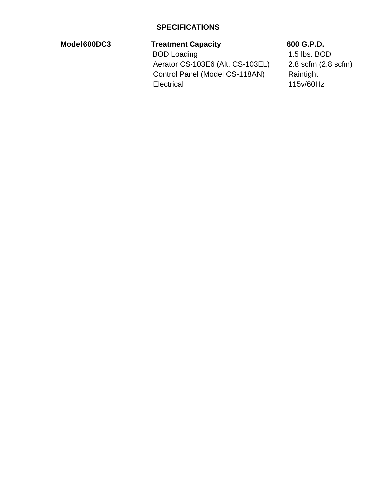#### **Model 600DC3 Treatment Capacity 600 G.P.D.**

**BOD Loading 1.5 lbs. BOD**  Aerator CS-103E6 (Alt. CS-103EL) 2.8 scfm (2.8 scfm) Control Panel (Model CS-118AN) Raintight Electrical 115v/60Hz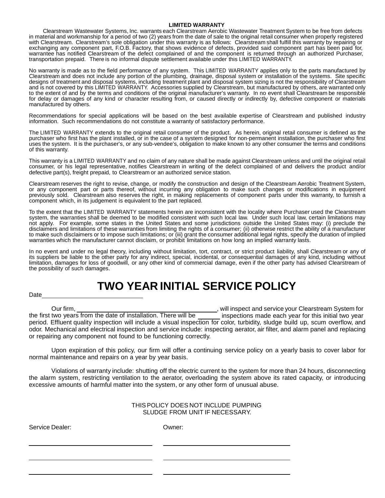#### **LIMITED WARRANTY**

Clearstream Wastewater Systems, Inc. warrants each Clearstream Aerobic Wastewater Treatment System to be free from defects in material and workmanship for a period of two (2) years from the date of sale to the original retail consumer when properly registered with Clearstream. Clearstream's sole obligation under this warranty is as follows: Clearstream shall fulfill this warranty by repairing or exchanging any component part, F.O.B. Factory, that shows evidence of defects, provided said component part has been paid for, warrantee has notified Clearstream of the defect complained of and the component is returned through an authorized Purchaser, transportation prepaid. There is no informal dispute settlement available under this LIMITED WARRANTY.

No warranty is made as to the field performance of any system. This LIMITED WARRANTY applies only to the parts manufactured by Clearstream and does not include any portion of the plumbing, drainage, disposal system or installation of the systems. Site specific designs of treatment and disposal systems, including treatment plant and disposal system sizing is not the responsibility of Clearstream and is not covered by this LIMITED WARRANTY. Accessories supplied by Clearstream, but manufactured by others, are warranted only to the extent of and by the terms and conditions of the original manufacturer's warranty. In no event shall Clearstream be responsible for delay or damages of any kind or character resulting from, or caused directly or indirectly by, defective component or materials manufactured by others.

Recommendations for special applications will be based on the best available expertise of Clearstream and published industry information. Such recommendations do not constitute a warranty of satisfactory performance.

The LIMITED WARRANTY extends to the original retail consumer of the product. As herein, original retail consumer is defined as the purchaser who first has the plant installed, or in the case of a system designed for non-permanent installation, the purchaser who first uses the system. It is the purchaser's, or any sub-vendee's, obligation to make known to any other consumer the terms and conditions of this warranty.

This warranty is a LIMITED WARRANTY and no claim of any nature shall be made against Clearstream unless and until the original retail consumer, or his legal representative, notifies Clearstream in writing of the defect complained of and delivers the product and/or defective part(s), freight prepaid, to Clearstream or an authorized service station.

Clearstream reserves the right to revise, change, or modify the construction and design of the Clearstream Aerobic Treatment System, or any component part or parts thereof, without incurring any obligation to make such changes or modifications in equipment previously sold. Clearstream also reserves the right, in making replacements of component parts under this warranty, to furnish a component which, in its judgement is equivalent to the part replaced.

To the extent that the LIMITED WARRANTY statements herein are inconsistent with the locality where Purchaser used the Clearstream system, the warranties shall be deemed to be modified consistent with such local law. Under such local law, certain limitations may not apply. For example, some states in the United States and some jurisdictions outside the United States may: (i) preclude the disclaimers and limitations of these warranties from limiting the rights of a consumer; (ii) otherwise restrict the ability of a manufacturer to make such disclaimers or to impose such limitations; or (iii) grant the consumer additional legal rights, specify the duration of implied warranties which the manufacturer cannot disclaim, or prohibit limitations on how long an implied warranty lasts.

In no event and under no legal theory, including without limitation, tort, contract, or strict product liability, shall Clearstream or any of its suppliers be liable to the other party for any indirect, special, incidental, or consequential damages of any kind, including without limitation, damages for loss of goodwill, or any other kind of commercial damage, even if the other party has advised Clearstream of the possibility of such damages.

# **TWO YEAR INITIAL SERVICE POLICY**

Date

Our firm, the first two years from the date of installation. There will be , will inspect and service your Clearstream System for inspections made each year for this initial two year period. Effluent quality inspection will include a visual inspection for color, turbidity, sludge build up, scum overflow, and odor. Mechanical and electrical inspection and service include: inspecting aerator, air filter, and alarm panel and replacing or repairing any component not found to be functioning correctly.

Upon expiration of this policy, our firm will offer a continuing service policy on a yearly basis to cover labor for normal maintenance and repairs on a year by year basis.

Violations of warranty include: shutting off the electric current to the system for more than 24 hours, disconnecting the alarm system, restricting ventilation to the aerator, overloading the system above its rated capacity, or introducing excessive amounts of harmful matter into the system, or any other form of unusual abuse.

| THIS POLICY DOES NOT INCLUDE PUMPING |
|--------------------------------------|
| SLUDGE FROM UNIT IF NECESSARY.       |

Service Dealer: Company of Company Company Company Company Company Company Company Company Company Company Company Company Company Company Company Company Company Company Company Company Company Company Company Company Com